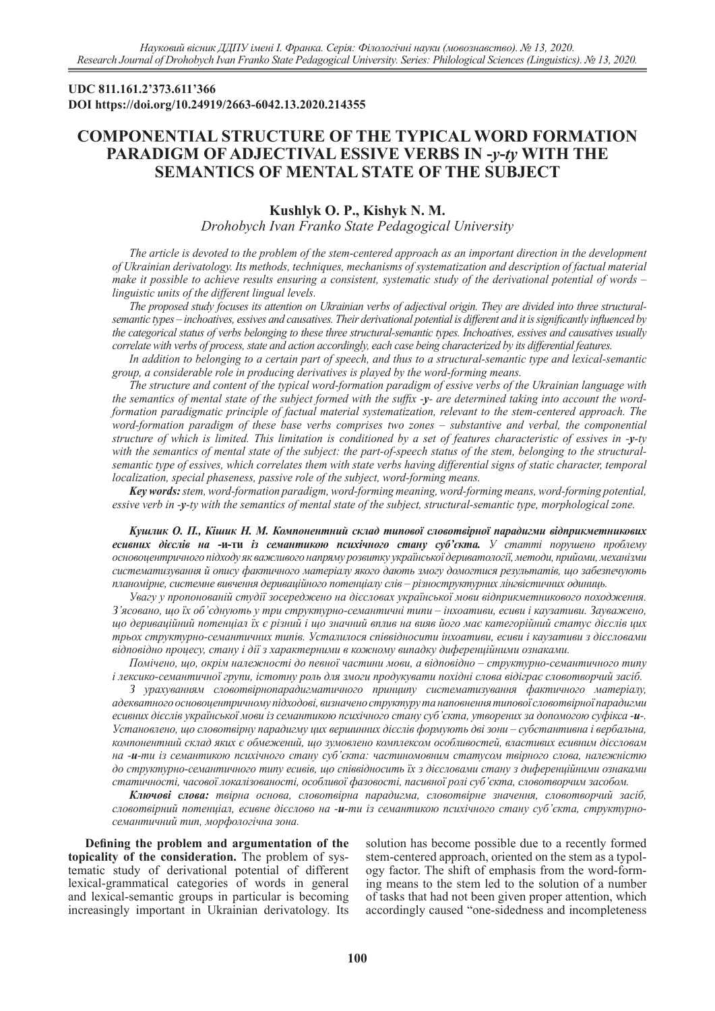## **UDC 811.161.2'373.611'366 DOI https://doi.org/10.24919/2663-6042.13.2020.214355**

# **COMPONENTIAL STRUCTURE OF THE TYPICAL WORD FORMATION PARADIGM OF ADJECTIVAL ESSIVE VERBS IN -***y***-***ty* **WITH THE SEMANTICS OF MENTAL STATE OF THE SUBJECT**

## **Kushlyk O. P., Kishyk N. M.**

*Drohobych Ivan Franko State Pedagogical University*

*The article is devoted to the problem of the stem-centered approach as an important direction in the development of Ukrainian derivatology. Its methods, techniques, mechanisms of systematization and description of factual material make it possible to achieve results ensuring a consistent, systematic study of the derivational potential of words – linguistic units of the different lingual levels.*

*The proposed study focuses its attention on Ukrainian verbs of adjectival origin. They are divided into three structuralsemantic types – inchoatives, essives and causatives. Their derivational potential is different and it is significantly influenced by the categorical status of verbs belonging to these three structural-semantic types. Inchoatives, essives and causatives usually correlate with verbs of process, state and action accordingly, each case being characterized by its differential features.* 

*In addition to belonging to a certain part of speech, and thus to a structural-semantic type and lexical-semantic group, a considerable role in producing derivatives is played by the word-forming means.*

*The structure and content of the typical word-formation paradigm of essive verbs of the Ukrainian language with the semantics of mental state of the subject formed with the suffix -y- are determined taking into account the wordformation paradigmatic principle of factual material systematization, relevant to the stem-centered approach. The word-formation paradigm of these base verbs comprises two zones – substantive and verbal, the componential structure of which is limited. This limitation is conditioned by a set of features characteristic of essives in -y-ty with the semantics of mental state of the subject: the part-of-speech status of the stem, belonging to the structuralsemantic type of essives, which correlates them with state verbs having differential signs of static character, temporal localization, special phaseness, passive role of the subject, word-forming means.* 

*Key words: stem, word-formation paradigm, word-forming meaning, word-forming means, word-forming potential, essive verb in -y-ty with the semantics of mental state of the subject, structural-semantic type, morphological zone.* 

*Kушлик О. П., Кішик Н. М. Компонентний склад типової словотвірної парадигми відприкметникових есивних дієслів на* **-и-ти** *із семантикою психічного стану суб'єкта. У статті порушено проблему основоцентричного підходу як важливого напряму розвитку української дериватології, методи, прийоми, механізми систематизування й опису фактичного матеріалу якого дають змогу домогтися результатів, що забезпечують планомірне, системне вивчення дериваційного потенціалу слів – різноструктурних лінгвістичних одиниць.*

*Увагу у пропонованій студії зосереджено на дієсловах української мови відприкметникового походження. З'ясовано, що їх об'єднують у три структурно-семантичні типи – інхоативи, есиви і каузативи. Зауважено, що дериваційний потенціал їх є різний і що значний вплив на вияв його має категорійний статус дієслів цих трьох структурно-семантичних типів. Усталилося співвідносити інхоативи, есиви і каузативи з дієсловами відповідно процесу, стану і дії з характерними в кожному випадку диференційними ознаками.* 

*Помічено, що, окрім належності до певної частини мови, а відповідно – структурно-семантичного типу і лексико-семантичної групи, істотну роль для змоги продукувати похідні слова відіграє словотворчий засіб.* 

*З урахуванням словотвірнопарадигматичного принципу систематизування фактичного матеріалу, адекватного основоцентричному підходові, визначено структуру та наповнення типової словотвірної парадигми есивних дієслів української мови із семантикою психічного стану суб'єкта, утворених за допомогою суфікса -и-. Установлено, що словотвірну парадигму цих вершинних дієслів формують дві зони – субстантивна і вербальна, компонентний склад яких є обмежений, що зумовлено комплексом особливостей, властивих есивним дієсловам на -и-ти із семантикою психічного стану суб'єкта: частиномовним статусом твірного слова, належністю до структурно-семантичного типу есивів, що співвідносить їх з дієсловами стану з диференційними ознаками статичності, часової локалізованості, особливої фазовості, пасивної ролі суб'єкта, словотворчим засобом.*

*Ключові слова: твірна основа, словотвірна парадигма, словотвірне значення, словотворчий засіб, словотвірний потенціал, есивне дієслово на -и-ти із семантикою психічного стану суб'єкта, структурносемантичний тип, морфологічна зона.*

**Defining the problem and argumentation of the topicality of the consideration.** The problem of systematic study of derivational potential of different lexical-grammatical categories of words in general and lexical-semantic groups in particular is becoming increasingly important in Ukrainian derivatology. Its solution has become possible due to a recently formed stem-centered approach, oriented on the stem as a typology factor. The shift of emphasis from the word-forming means to the stem led to the solution of a number of tasks that had not been given proper attention, which accordingly caused "one-sidedness and incompleteness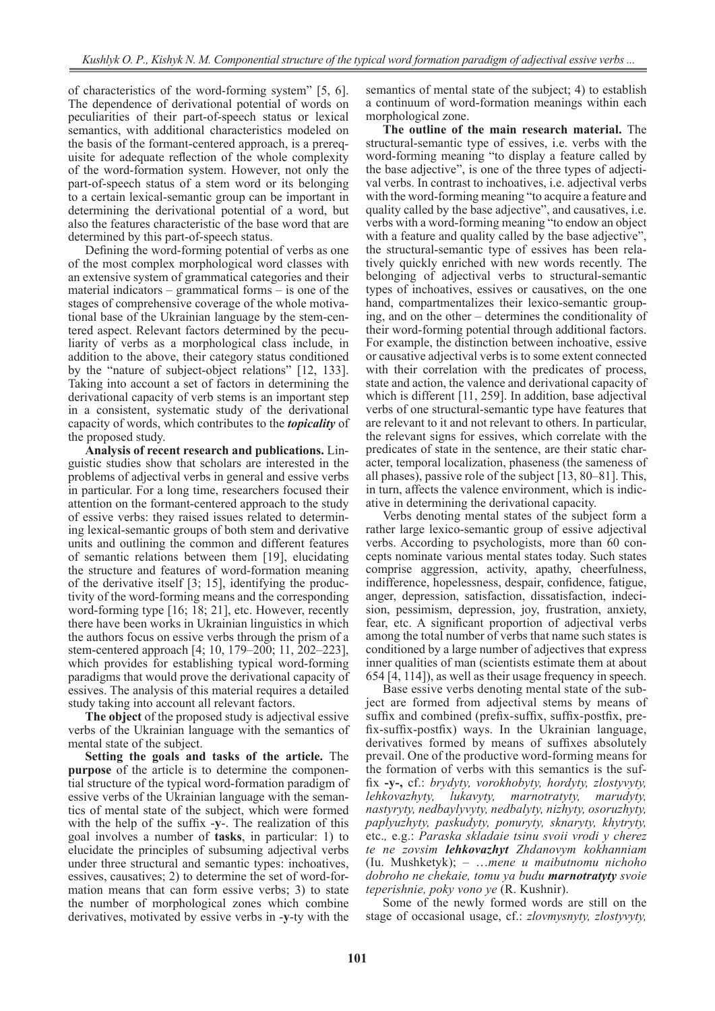of characteristics of the word-forming system" [5, 6]. The dependence of derivational potential of words on peculiarities of their part-of-speech status or lexical semantics, with additional characteristics modeled on the basis of the formant-centered approach, is a prerequisite for adequate reflection of the whole complexity of the word-formation system. However, not only the part-of-speech status of a stem word or its belonging to a certain lexical-semantic group can be important in determining the derivational potential of a word, but also the features characteristic of the base word that are determined by this part-of-speech status.

Defining the word-forming potential of verbs as one of the most complex morphological word classes with an extensive system of grammatical categories and their material indicators – grammatical forms – is one of the stages of comprehensive coverage of the whole motivational base of the Ukrainian language by the stem-centered aspect. Relevant factors determined by the peculiarity of verbs as a morphological class include, in addition to the above, their category status conditioned by the "nature of subject-object relations" [12, 133]. Taking into account a set of factors in determining the derivational capacity of verb stems is an important step in a consistent, systematic study of the derivational capacity of words, which contributes to the *topicality* of the proposed study.

**Analysis of recent research and publications.** Linguistic studies show that scholars are interested in the problems of adjectival verbs in general and essive verbs in particular. For a long time, researchers focused their attention on the formant-centered approach to the study of essive verbs: they raised issues related to determining lexical-semantic groups of both stem and derivative units and outlining the common and different features of semantic relations between them [19], elucidating the structure and features of word-formation meaning of the derivative itself [3; 15], identifying the productivity of the word-forming means and the corresponding word-forming type [16; 18; 21], etc. However, recently there have been works in Ukrainian linguistics in which the authors focus on essive verbs through the prism of a stem-centered approach [4; 10, 179–200; 11, 202–223], which provides for establishing typical word-forming paradigms that would prove the derivational capacity of essives. The analysis of this material requires a detailed study taking into account all relevant factors.

**The object** of the proposed study is adjectival essive verbs of the Ukrainian language with the semantics of mental state of the subject.

**Setting the goals and tasks of the article.** The **purpose** of the article is to determine the componential structure of the typical word-formation paradigm of essive verbs of the Ukrainian language with the semantics of mental state of the subject, which were formed with the help of the suffix -**y**-. The realization of this goal involves a number of **tasks**, in particular: 1) to elucidate the principles of subsuming adjectival verbs under three structural and semantic types: inchoatives, essives, causatives; 2) to determine the set of word-formation means that can form essive verbs; 3) to state the number of morphological zones which combine derivatives, motivated by essive verbs in -**y**-ty with the

semantics of mental state of the subject; 4) to establish a continuum of word-formation meanings within each morphological zone.

**The outline of the main research material.** The structural-semantic type of essives, i.e. verbs with the word-forming meaning "to display a feature called by the base adjective", is one of the three types of adjectival verbs. In contrast to inchoatives, i.e. adjectival verbs with the word-forming meaning "to acquire a feature and quality called by the base adjective", and causatives, i.e. verbs with a word-forming meaning "to endow an object with a feature and quality called by the base adjective", the structural-semantic type of essives has been relatively quickly enriched with new words recently. The belonging of adjectival verbs to structural-semantic types of inchoatives, essives or causatives, on the one hand, compartmentalizes their lexico-semantic grouping, and on the other – determines the conditionality of their word-forming potential through additional factors. For example, the distinction between inchoative, essive or causative adjectival verbs is to some extent connected with their correlation with the predicates of process, state and action, the valence and derivational capacity of which is different [11, 259]. In addition, base adjectival verbs of one structural-semantic type have features that are relevant to it and not relevant to others. In particular, the relevant signs for essives, which correlate with the predicates of state in the sentence, are their static character, temporal localization, phaseness (the sameness of all phases), passive role of the subject [13, 80–81]. This, in turn, affects the valence environment, which is indicative in determining the derivational capacity.

Verbs denoting mental states of the subject form a rather large lexico-semantic group of essive adjectival verbs. According to psychologists, more than 60 concepts nominate various mental states today. Such states comprise aggression, activity, apathy, cheerfulness, indifference, hopelessness, despair, confidence, fatigue, anger, depression, satisfaction, dissatisfaction, indecision, pessimism, depression, joy, frustration, anxiety, fear, etc. A significant proportion of adjectival verbs among the total number of verbs that name such states is conditioned by a large number of adjectives that express inner qualities of man (scientists estimate them at about 654 [4, 114]), as well as their usage frequency in speech.

Base essive verbs denoting mental state of the subject are formed from adjectival stems by means of suffix and combined (prefix-suffix, suffix-postfix, prefix-suffix-postfix) ways. In the Ukrainian language, derivatives formed by means of suffixes absolutely prevail. One of the productive word-forming means for the formation of verbs with this semantics is the suffix **-y-,** cf.: *brydyty, vorokhobyty, hordyty, zlostyvyty, lehkovazhyty, lukavyty, marnotratyty, marudyty, nastyryty, nedbaylyvyty, nedbalyty, nizhyty, osoruzhyty, paplyuzhyty, paskudyty, ponuryty, sknaryty, khytryty,*  etc.*,* e.g.: *Paraska skladaie tsinu svoii vrodi y cherez te ne zovsim lehkovazhyt Zhdanovym kokhanniam* (Iu. Mushketyk); – …*mene u maibutnomu nichoho dobroho ne chekaie, tomu ya budu marnotratyty svoie teperishnie, poky vono ye* (R. Kushnir).

Some of the newly formed words are still on the stage of occasional usage, cf.: *zlovmysnyty, zlostyvyty,*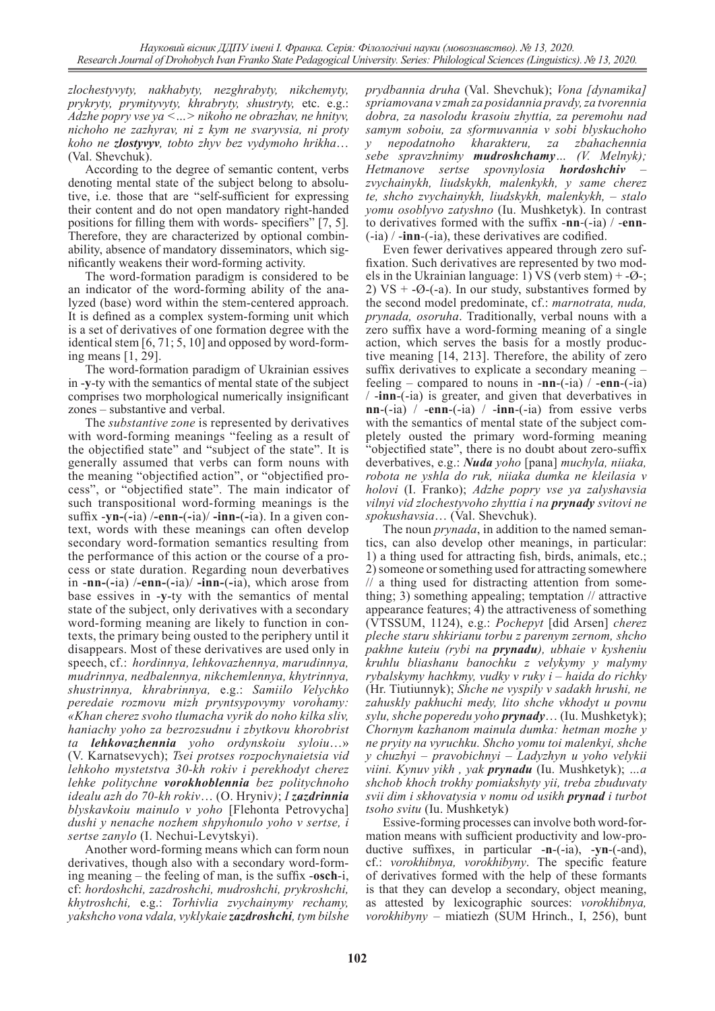*zlochestyvyty, nakhabyty, nezghrabyty, nikchemyty, prykryty, prymityvyty, khrabryty, shustryty,* etc. e.g.: *Adzhe popry vse ya <…> nikoho ne obrazhav, ne hnityv, nichoho ne zazhyrav, ni z kym ne svaryvsia, ni proty koho ne zlostyvyv, tobto zhyv bez vydymoho hrikha*… (Val. Shevchuk).

According to the degree of semantic content, verbs denoting mental state of the subject belong to absolutive, i.e. those that are "self-sufficient for expressing their content and do not open mandatory right-handed positions for filling them with words- specifiers" [7, 5]. Therefore, they are characterized by optional combinability, absence of mandatory disseminators, which significantly weakens their word-forming activity.

The word-formation paradigm is considered to be an indicator of the word-forming ability of the analyzed (base) word within the stem-centered approach. It is defined as a complex system-forming unit which is a set of derivatives of one formation degree with the identical stem [6, 71; 5, 10] and opposed by word-forming means [1, 29].

The word-formation paradigm of Ukrainian essives in -**y**-ty with the semantics of mental state of the subject comprises two morphological numerically insignificant zones – substantive and verbal.

The *substantive zone* is represented by derivatives with word-forming meanings "feeling as a result of the objectified state" and "subject of the state". It is generally assumed that verbs can form nouns with the meaning "objectified action", or "objectified process", or "objectified state". The main indicator of such transpositional word-forming meanings is the suffix -**yn-**(**-**ia) /**-enn-**(**-**ia)/ **-inn-**(**-**ia). In a given context, words with these meanings can often develop secondary word-formation semantics resulting from the performance of this action or the course of a process or state duration. Regarding noun deverbatives in -**nn-**(**-**ia) /**-enn-**(**-**ia)/ **-inn-**(**-**ia), which arose from base essives in -**y**-ty with the semantics of mental state of the subject, only derivatives with a secondary word-forming meaning are likely to function in contexts, the primary being ousted to the periphery until it disappears. Most of these derivatives are used only in speech, cf.: *hordinnya, lehkovazhennya, marudinnya, mudrinnya, nedbalennya, nikchemlennya, khytrinnya, shustrinnya, khrabrinnya,* e.g.: *Samiilo Velychko peredaie rozmovu mizh pryntsypovymy vorohamy: «Khan cherez svoho tlumacha vyrik do noho kilka sliv, haniachy yoho za bezrozsudnu i zbytkovu khorobrist ta lehkovazhennia yoho ordynskoiu syloiu*…» (V. Karnatsevych); *Tsei protses rozpochynaietsia vid lehkoho mystetstva 30-kh rokiv i perekhodyt cherez lehke politychne vorokhoblennia bez politychnoho idealu azh do 70-kh rokiv*… (O. Hryniv*)*; *I zazdrinnia blyskavkoiu mainulo v yoho* [Flehonta Petrovycha] *dushi y nenache nozhem shpyhonulo yoho v sertse, i sertse zanylo* (I. Nechui-Levytskyi).

Another word-forming means which can form noun derivatives, though also with a secondary word-forming meaning – the feeling of man, is the suffix -**osch**-i, cf: *hordoshchi, zazdroshchi, mudroshchi, prykroshchi, khytroshchi,* e.g.: *Torhivlia zvychainymy rechamy, yakshcho vona vdala, vyklykaie zazdroshchi, tym bilshe*  *prydbannia druha* (Val. Shevchuk); *Vona [dynamika] spriamovana v zmah za posidannia pravdy, za tvorennia dobra, za nasolodu krasoiu zhyttia, za peremohu nad samym soboiu, za sformuvannia v sobi blyskuchoho y nepodatnoho kharakteru, za zbahachennia sebe spravzhnimy mudroshchamy… (V. Melnyk); Hetmanove sertse spovnylosia hordoshchiv – zvychainykh, liudskykh, malenkykh, y same cherez te, shcho zvychainykh, liudskykh, malenkykh, – stalo yomu osoblyvo zatyshno* (Iu. Mushketyk). In contrast to derivatives formed with the suffix -**nn**-(-ia) / -**enn**- (-ia) / -**inn**-(-ia), these derivatives are codified.

Even fewer derivatives appeared through zero suffixation. Such derivatives are represented by two models in the Ukrainian language: 1) VS (verb stem) + - $\varnothing$ -; 2) VS  $+$  - $\mathcal{O}$ -(-a). In our study, substantives formed by the second model predominate, cf.: *marnotrata, nuda, prynada, osoruha*. Traditionally, verbal nouns with a zero suffix have a word-forming meaning of a single action, which serves the basis for a mostly productive meaning [14, 213]. Therefore, the ability of zero suffix derivatives to explicate a secondary meaning – feeling – compared to nouns in -**nn**-(-ia) / -**enn**-(-ia) / -**inn**-(-ia) is greater, and given that deverbatives in **nn**-(-ia) / -**enn**-(-ia) / -**inn**-(-ia) from essive verbs with the semantics of mental state of the subject completely ousted the primary word-forming meaning "objectified state", there is no doubt about zero-suffix deverbatives, e.g.: *Nuda yoho* [pana] *muchyla, niiaka, robota ne yshla do ruk, niiaka dumka ne kleilasia v holovi* (I. Franko); *Adzhe popry vse ya zalyshavsia vilnyi vid zlochestyvoho zhyttia i na prynady svitovi ne spokushavsia*… (Val. Shevchuk).

The noun *prynada*, in addition to the named semantics, can also develop other meanings, in particular: 1) a thing used for attracting fish, birds, animals, etc.; 2) someone or something used for attracting somewhere // a thing used for distracting attention from something; 3) something appealing; temptation // attractive appearance features; 4) the attractiveness of something (VTSSUM, 1124), e.g.: *Pochepyt* [did Arsen] *cherez pleche staru shkirianu torbu z parenym zernom, shcho pakhne kuteiu (rybi na prynadu), ubhaie v kysheniu kruhlu bliashanu banochku z velykymy y malymy rybalskymy hachkmy, vudky v ruky i – haida do richky* (Hr. Tiutiunnyk); *Shche ne vyspily v sadakh hrushi, ne zahuskly pakhuchi medy, lito shche vkhodyt u povnu sylu, shche poperedu yoho prynady*… (Iu. Mushketyk); *Chornym kazhanom mainula dumka: hetman mozhe y ne pryity na vyruchku. Shcho yomu toi malenkyi, shche y chuzhyi – pravobichnyi – Ladyzhyn u yoho velykii viini. Kynuv yikh , yak prynadu* (Iu. Mushketyk); *…a shchob khoch trokhy pomiakshyty yii, treba zbuduvaty svii dim i skhovatysia v nomu od usikh prynad i turbot tsoho svitu* (Iu. Mushketyk)

Essive-forming processes can involve both word-formation means with sufficient productivity and low-productive suffixes, in particular -**n**-(-ia), -**yn**-(-and), cf.: *vorokhibnya, vorokhibyny*. The specific feature of derivatives formed with the help of these formants is that they can develop a secondary, object meaning, as attested by lexicographic sources: *vorokhibnya, vorokhibyny* – miatiezh (SUM Hrinch., І, 256), bunt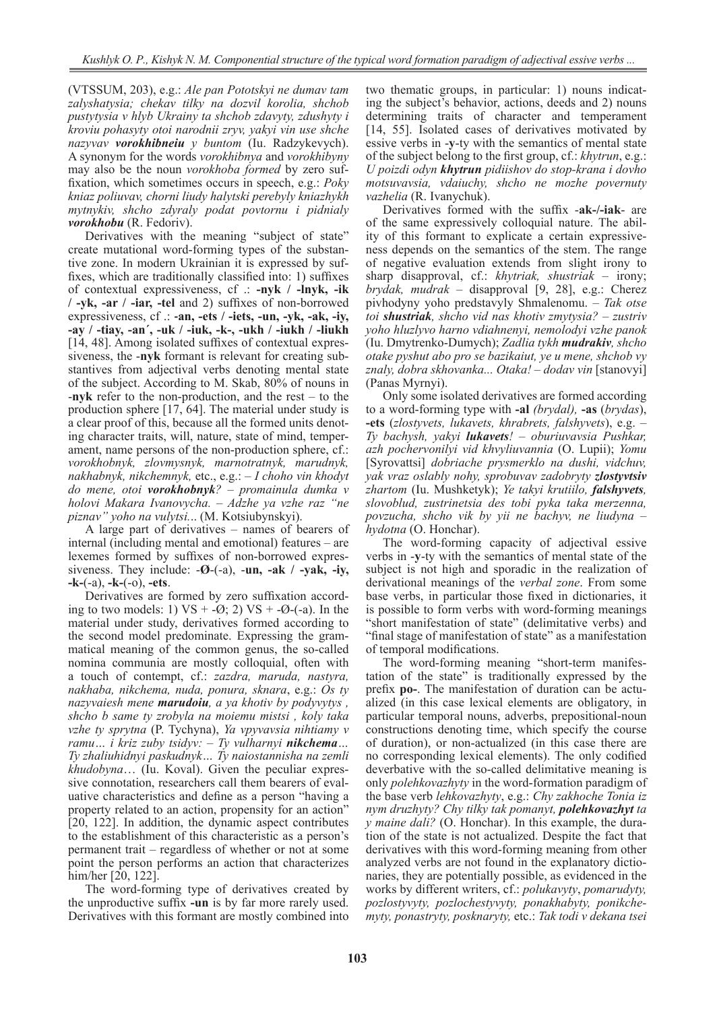(VTSSUM, 203), e.g.: *Ale pan Pototskyi ne dumav tam zalyshatysia; chekav tilky na dozvil korolia, shchob pustytysia v hlyb Ukrainy ta shchob zdavyty, zdushyty i kroviu pohasyty otoi narodnii zryv, yakyi vin use shche nazyvav vorokhibneiu y buntom* (Iu. Radzykevych). A synonym for the words *vorokhibnya* and *vorokhibyny* may also be the noun *vorokhoba formed* by zero suffixation, which sometimes occurs in speech, e.g.: *Poky kniaz poliuvav, chorni liudy halytski perebyly kniazhykh mytnykiv, shcho zdyraly podat povtornu i pidnialy vorokhobu* (R. Fedoriv).

Derivatives with the meaning "subject of state" create mutational word-forming types of the substantive zone. In modern Ukrainian it is expressed by suffixes, which are traditionally classified into: 1) suffixes of contextual expressiveness, cf .: **-nyk / -lnyk, -ik / -yk, -ar / -iar, -tel** and 2) suffixes of non-borrowed expressiveness, cf .: **-an, -ets / -iets, -un, -yk, -ak, -iy, -ay / -tiay, -an´, -uk / -iuk, -k-, -ukh / -iukh / -liukh** [14, 48]. Among isolated suffixes of contextual expressiveness, the -**nyk** formant is relevant for creating substantives from adjectival verbs denoting mental state of the subject. According to M. Skab, 80% of nouns in -**nyk** refer to the non-production, and the rest – to the production sphere [17, 64]. The material under study is a clear proof of this, because all the formed units denoting character traits, will, nature, state of mind, temperament, name persons of the non-production sphere, cf.: *vorokhobnyk, zlovmysnyk, marnotratnyk, marudnyk, nakhabnyk, nikchemnyk,* etc., e.g.: – *I choho vin khodyt do mene, otoi vorokhobnyk? – promainula dumka v holovi Makara Ivanovycha. – Adzhe ya vzhe raz "ne piznav" yoho na vulytsi.*.. (M. Kotsiubynskyi).

A large part of derivatives – names of bearers of internal (including mental and emotional) features – are lexemes formed by suffixes of non-borrowed expressiveness. They include: -**Ø**-(-a), -**un, -ak / -yak, -iy, -k-**(-a), **-k-**(-o), **-ets**.

Derivatives are formed by zero suffixation according to two models: 1)  $VS + -Ø$ ; 2)  $VS + -Ø$ -(-a). In the material under study, derivatives formed according to the second model predominate. Expressing the grammatical meaning of the common genus, the so-called nomina communia are mostly colloquial, often with a touch of contempt, cf.: *zazdra, maruda, nastyra, nakhaba, nikchema, nuda, ponura, sknara*, e.g.: *Os ty nazyvaiesh mene marudoiu, a ya khotiv by podyvytys , shcho b same ty zrobyla na moiemu mistsi , koly taka vzhe ty sprytna* (P. Tychyna), *Ya vpyvavsia nihtiamy v ramu… i kriz zuby tsidyv: – Ty vulharnyi nikchema… Ty zhaliuhidnyi paskudnyk… Ty naiostannisha na zemli khudobyna*… (Iu. Koval). Given the peculiar expressive connotation, researchers call them bearers of evaluative characteristics and define as a person "having a property related to an action, propensity for an action" [20, 122]. In addition, the dynamic aspect contributes to the establishment of this characteristic as a person's permanent trait – regardless of whether or not at some point the person performs an action that characterizes him/her [20, 122].

The word-forming type of derivatives created by the unproductive suffix **-un** is by far more rarely used. Derivatives with this formant are mostly combined into two thematic groups, in particular: 1) nouns indicating the subject's behavior, actions, deeds and 2) nouns determining traits of character and temperament [14, 55]. Isolated cases of derivatives motivated by essive verbs in -**y**-ty with the semantics of mental state of the subject belong to the first group, cf.: *khytrun*, e.g.: *U poizdi odyn khytrun pidiishov do stop-krana i dovho motsuvavsia, vdaiuchy, shcho ne mozhe povernuty vazhelia* (R. Ivanychuk).

Derivatives formed with the suffix -**ak-/-iak**- are of the same expressively colloquial nature. The ability of this formant to explicate a certain expressiveness depends on the semantics of the stem. The range of negative evaluation extends from slight irony to sharp disapproval, cf.: *khytriak, shustriak* – irony; *brydak, mudrak* – disapproval [9, 28], e.g.: Cherez pivhodyny yoho predstavyly Shmalenomu. – *Tak otse toi shustriak, shcho vid nas khotiv zmytysia? – zustriv yoho hluzlyvo harno vdiahnenyi, nemolodyi vzhe panok* (Iu. Dmytrenko-Dumych); *Zadlia tykh mudrakiv, shcho otake pyshut abo pro se bazikaiut, ye u mene, shchob vy znaly, dobra skhovanka... Otaka! – dodav vin* [stanovyi] (Panas Myrnyi).

Only some isolated derivatives are formed according to a word-forming type with **-al** *(brydal),* **-as** (*brydas*), **-ets** (*zlostyvets, lukavets, khrabrets, falshyvets*), e.g. – *Ty bachysh, yakyi lukavets! – oburiuvavsia Pushkar, azh pochervonilyi vid khvyliuvannia* (O. Lupii); *Yomu*  [Syrovattsi] *dobriache prysmerklo na dushi, vidchuv, yak vraz oslably nohy, sprobuvav zadobryty zlostyvtsiv zhartom* (Iu. Mushketyk); *Ye takyi krutiilo, falshyvets, slovoblud, zustrinetsia des tobi pyka taka merzenna, povzucha, shcho vik by yii ne bachyv, ne liudyna – hydotna* (O. Honchar).

The word-forming capacity of adjectival essive verbs in -**y**-ty with the semantics of mental state of the subject is not high and sporadic in the realization of derivational meanings of the *verbal zone*. From some base verbs, in particular those fixed in dictionaries, it is possible to form verbs with word-forming meanings "short manifestation of state" (delimitative verbs) and "final stage of manifestation of state" as a manifestation of temporal modifications.

The word-forming meaning "short-term manifestation of the state" is traditionally expressed by the prefix **po-**. The manifestation of duration can be actualized (in this case lexical elements are obligatory, in particular temporal nouns, adverbs, prepositional-noun constructions denoting time, which specify the course of duration), or non-actualized (in this case there are no corresponding lexical elements). The only codified deverbative with the so-called delimitative meaning is only *polehkovazhyty* in the word-formation paradigm of the base verb *lehkovazhyty*, e.g.: *Chy zakhoche Tonia iz nym druzhyty? Chy tilky tak pomanyt, polehkovazhyt ta y maine dali?* (O. Honchar). In this example, the duration of the state is not actualized. Despite the fact that derivatives with this word-forming meaning from other analyzed verbs are not found in the explanatory dictionaries, they are potentially possible, as evidenced in the works by different writers, cf.: *polukavyty*, *pomarudyty, pozlostyvyty, pozlochestyvyty, ponakhabyty, ponikchemyty, ponastryty, posknaryty,* etc.: *Tak todi v dekana tsei*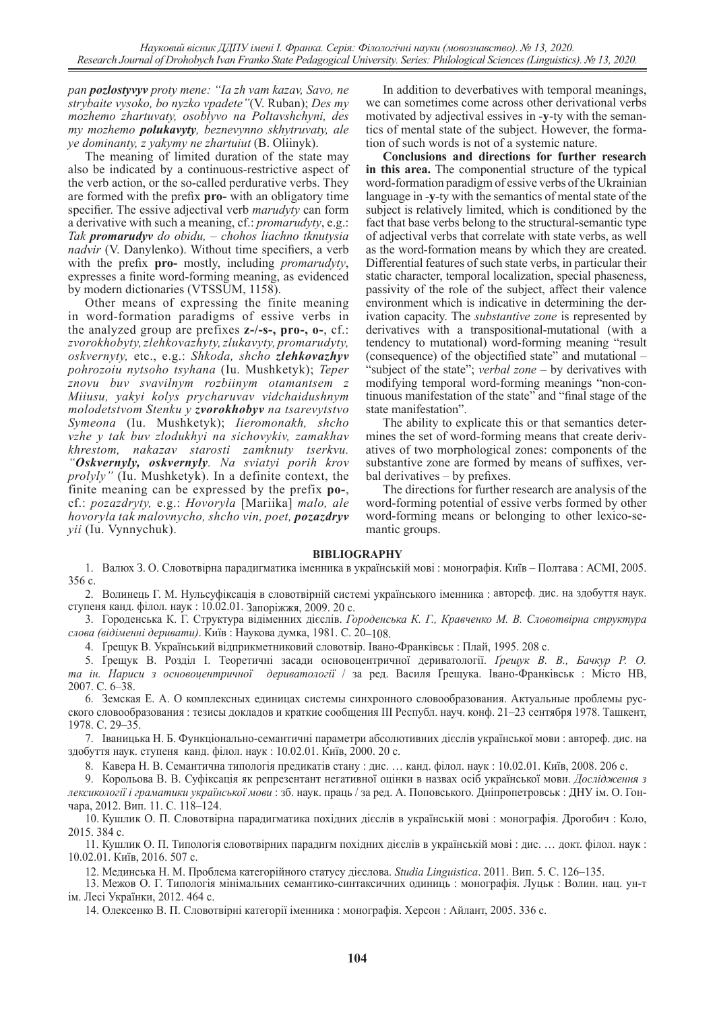*pan pozlostyvyv proty mene: "Ia zh vam kazav, Savo, ne strybaite vysoko, bo nyzko vpadete"*(V. Ruban); *Des my mozhemo zhartuvaty, osoblyvo na Poltavshchyni, des my mozhemo polukavyty, beznevynno skhytruvaty, ale ye dominanty, z yakymy ne zhartuiut* (B. Oliinyk).

The meaning of limited duration of the state may also be indicated by a continuous-restrictive aspect of the verb action, or the so-called perdurative verbs. They are formed with the prefix **pro-** with an obligatory time specifier. The essive adjectival verb *marudyty* can form a derivative with such a meaning, cf.: *promarudyty*, e.g.: *Tak promarudyv do obidu, – chohos liachno tknutysia nadvir* (V. Danylenko). Without time specifiers, a verb with the prefix **pro-** mostly, including *promarudyty*, expresses a finite word-forming meaning, as evidenced by modern dictionaries (VTSSUM, 1158).

Other means of expressing the finite meaning in word-formation paradigms of essive verbs in the analyzed group are prefixes **z-/-s-, pro-, о-**, cf.: *zvorokhobyty, zlehkovazhyty, zlukavyty, promarudyty, oskvernyty,* etc., e.g.: *Shkoda, shcho zlehkovazhyv pohrozoiu nytsoho tsyhana* (Iu. Mushketyk); *Teper znovu buv svavilnym rozbiinym otamantsem z Miiusu, yakyi kolys prycharuvav vidchaidushnym molodetstvom Stenku y zvorokhobyv na tsarevytstvo Symeona* (Iu. Mushketyk); *Iieromonakh, shcho vzhe y tak buv zlodukhyi na sichovykiv, zamakhav khrestom, nakazav starosti zamknuty tserkvu. "Oskvernyly, oskvernyly. Na sviatyi porih krov*  prolyly" (Iu. Mushketyk). In a definite context, the finite meaning can be expressed by the prefix **po-**, cf.: *pozazdryty,* e.g.: *Hovoryla* [Mariika] *malo, ale hovoryla tak malovnycho, shcho vin, poet, pozazdryv yii* (Iu. Vynnychuk).

In addition to deverbatives with temporal meanings, we can sometimes come across other derivational verbs motivated by adjectival essives in -**y**-ty with the semantics of mental state of the subject. However, the formation of such words is not of a systemic nature.

**Conclusions and directions for further research in this area.** The componential structure of the typical word-formation paradigm of essive verbs of the Ukrainian language in -**y**-ty with the semantics of mental state of the subject is relatively limited, which is conditioned by the fact that base verbs belong to the structural-semantic type of adjectival verbs that correlate with state verbs, as well as the word-formation means by which they are created. Differential features of such state verbs, in particular their static character, temporal localization, special phaseness, passivity of the role of the subject, affect their valence environment which is indicative in determining the derivation capacity. The *substantive zone* is represented by derivatives with a transpositional-mutational (with a tendency to mutational) word-forming meaning "result (consequence) of the objectified state" and mutational – "subject of the state"; *verbal zone* – by derivatives with modifying temporal word-forming meanings "non-continuous manifestation of the state" and "final stage of the state manifestation".

The ability to explicate this or that semantics determines the set of word-forming means that create derivatives of two morphological zones: components of the substantive zone are formed by means of suffixes, verbal derivatives – by prefixes.

The directions for further research are analysis of the word-forming potential of essive verbs formed by other word-forming means or belonging to other lexico-semantic groups.

#### **BIBLIOGRAPHY**

1. Валюх З. О. Словотвірна парадигматика іменника в українській мові : монографія. Київ – Полтава : АСМІ, 2005. 356 с.

2. Волинець Г. М. Нульсуфіксація в словотвірній системі українського іменника : автореф. дис. на здобуття наук. ступеня канд. філол. наук : 10.02.01. Запоріжжя, 2009. 20 с.

3. Городенська К. Г. Структура відіменних дієслів. *Городенська К. Г., Кравченко М. В. Словотвірна структура слова (відіменні деривати)*. Київ : Наукова думка, 1981. С. 20–108.

4. Ґрещук В. Український відприкметниковий словотвір. Івано-Франківськ : Плай, 1995. 208 с.

5. Ґрещук В. Розділ І. Теоретичні засади основоцентричної дериватології. *Ґрещук В. В., Бачкур Р. О. та ін. Нариси з основоцентричної дериватології* / за ред. Василя Ґрещука. Івано-Франківськ : Місто НВ, 2007. С. 6–38.

6. Земская Е. А. О комплексных единицах системы синхронного словообразования. Актуальные проблемы русского словообразования : тезисы докладов и краткие сообщения ІІІ Республ. науч. конф. 21–23 сентября 1978. Ташкент, 1978. С. 29–35.

7. Іваницька Н. Б. Функціонально-семантичні параметри абсолютивних дієслів української мови : автореф. дис. на здобуття наук. ступеня канд. філол. наук : 10.02.01. Київ, 2000. 20 с.

8. Кавера Н. В. Семантична типологія предикатів стану : дис. … канд. філол. наук : 10.02.01. Київ, 2008. 206 с.

9. Корольова В. В. Суфіксація як репрезентант негативної оцінки в назвах осіб української мови. *Дослідження з лексикології і граматики української мови* : зб. наук. праць / за ред. А. Поповського. Дніпропетровськ : ДНУ ім. О. Гончара, 2012. Вип. 11. С. 118–124.

10. Кушлик О. П. Словотвірна парадигматика похідних дієслів в українській мові : монографія. Дрогобич : Коло, 2015. 384 с.

11. Кушлик О. П. Типологія словотвірних парадигм похідних дієслів в українській мові : дис. … докт. філол. наук : 10.02.01. Київ, 2016. 507 с.

12. Мединська Н. М. Проблема категорійного статусу дієслова. *Studia Linguistica*. 2011. Вип. 5. С. 126–135.

13. Межов О. Г. Типологія мінімальних семантико-синтаксичних одиниць : монографія. Луцьк : Волин. нац. ун-т ім. Лесі Українки, 2012. 464 с.

14. Олексенко В. П. Словотвірні категорії іменника : монографія. Херсон : Айлант, 2005. 336 с.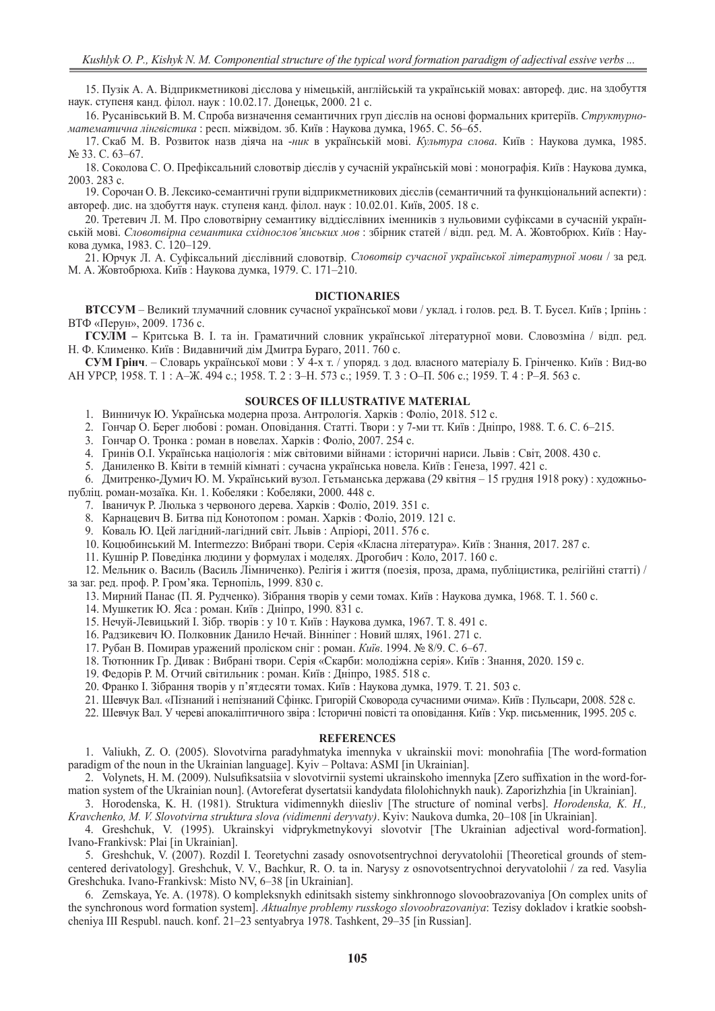15. Пузік А. А. Відприкметникові дієслова у німецькій, англійській та українській мовах: автореф. дис. на здобуття наук. ступеня канд. філол. наук : 10.02.17. Донецьк, 2000. 21 с.

16. Русанівський В. М. Спроба визначення семантичних груп дієслів на основі формальних критеріїв. *Структурноматематична лінгвістика* : респ. міжвідом. зб. Київ : Наукова думка, 1965. С. 56–65.

17. Скаб М. В. Розвиток назв діяча на -*ник* в українській мові. *Культура слова*. Київ : Наукова думка, 1985. № 33. С. 63–67.

18. Соколова С. О. Префіксальний словотвір дієслів у сучасній українській мові : монографія. Київ : Наукова думка, 2003. 283 с.

19. Сорочан О. В. Лексико-семантичні групи відприкметникових дієслів (семантичний та функціональний аспекти) : автореф. дис. на здобуття наук. ступеня канд. філол. наук : 10.02.01. Київ, 2005. 18 с.

20. Третевич Л. М. Про словотвірну семантику віддієслівних іменників з нульовими суфіксами в сучасній українській мові. *Словотвірна семантика східнослов'янських мов* : збірник статей / відп. ред. М. А. Жовтобрюх. Київ : Наукова думка, 1983. С. 120–129.

21. Юрчук Л. А. Суфіксальний дієслівний словотвір. *Словотвір сучасної української літературної мови* / за ред. М. А. Жовтобрюха. Київ : Наукова думка, 1979. С. 171–210.

#### **DICTIONARIES**

**ВТССУМ** – Великий тлумачний словник сучасної української мови / уклад. і голов. ред. В. Т. Бусел. Київ ; Ірпінь : ВТФ «Перун», 2009. 1736 с.

**ГСУЛМ –** Критська В. І. та ін. Граматичний словник української літературної мови. Словозміна / відп. ред. Н. Ф. Клименко. Київ : Видавничий дім Дмитра Бураго, 2011. 760 с.

**СУМ Грінч**. – Словарь української мови : У 4-х т. / упоряд. з дод. власного матеріалу Б. Грінченко. Київ : Вид-во АН УРСР, 1958. Т. 1 : А–Ж. 494 с.; 1958. Т. 2 : З–Н. 573 с.; 1959. Т. 3 : О–П. 506 с.; 1959. Т. 4 : Р–Я. 563 с.

#### **SOURCES OF ILLUSTRATIVE MATERIAL**

1. Винничук Ю. Українська модерна проза. Антрологія. Харків : Фоліо, 2018. 512 с.

2. Гончар О. Берег любові : роман. Оповідання. Статті. Твори : у 7-ми тт. Київ : Дніпро, 1988. Т. 6. С. 6–215.

3. Гончар О. Тронка : роман в новелах. Харків : Фоліо, 2007. 254 с.

4. Гринів О.І. Українська націологія : між світовими війнами : історичні нариси. Львів : Світ, 2008. 430 с.

5. Даниленко В. Квіти в темній кімнаті : сучасна українська новела. Київ : Генеза, 1997. 421 с.

6. Дмитренко-Думич Ю. М. Український вузол. Гетьманська держава (29 квітня – 15 грудня 1918 року) : художньопубліц. роман-мозаїка. Кн. 1. Кобеляки : Кобеляки, 2000. 448 с.

- 7. Іваничук Р. Люлька з червоного дерева. Харків : Фоліо, 2019. 351 с.
- 8. Карнацевич В. Битва під Конотопом : роман. Харків : Фоліо, 2019. 121 с.
- 9. Коваль Ю. Цей лагідний-лагідний світ. Львів : Апріорі, 2011. 576 с.
- 10. Коцюбинський М. Intermezzo: Вибрані твори. Серія «Класна література». Київ : Знання, 2017. 287 с.
- 11. Кушнір Р. Поведінка людини у формулах і моделях. Дрогобич : Коло, 2017. 160 с.

12. Мельник о. Василь (Василь Лімниченко). Релігія і життя (поезія, проза, драма, публіцистика, релігійні статті) / за заг. ред. проф. Р. Гром'яка. Тернопіль, 1999. 830 с.

13. Мирний Панас (П. Я. Рудченко). Зібрання творів у семи томах. Київ : Наукова думка, 1968. Т. 1. 560 с.

- 14. Мушкетик Ю. Яса : роман. Київ : Дніпро, 1990. 831 с.
- 15. Нечуй-Левицький І. Зібр. творів : у 10 т. Київ : Наукова думка, 1967. Т. 8. 491 с.
- 16. Радзикевич Ю. Полковник Данило Нечай. Вінніпег : Новий шлях, 1961. 271 с.
- 17. Рубан В. Помирав уражений проліском сніг : роман. *Київ*. 1994. № 8/9. С. 6–67.
- 18. Тютюнник Гр. Дивак : Вибрані твори. Серія «Скарби: молодіжна серія». Київ : Знання, 2020. 159 с.

19. Федорів Р. М. Отчий світильник : роман. Київ : Дніпро, 1985. 518 с.

20. Франко І. Зібрання творів у п'ятдесяти томах. Київ : Наукова думка, 1979. Т. 21. 503 с.

21. Шевчук Вал. «Пізнаний і непізнаний Сфінкс. Григорій Сковорода сучасними очима». Київ : Пульсари, 2008. 528 с.

22. Шевчук Вал. У череві апокаліптичного звіра : Історичні повісті та оповідання. Київ : Укр. письменник, 1995. 205 с.

#### **REFERENCES**

1. Valiukh, Z. O. (2005). Slovotvirna paradyhmatyka imennyka v ukrainskii movi: monohrafiia [The word-formation paradigm of the noun in the Ukrainian language]. Kyiv – Poltava: ASMI [in Ukrainian].

2. Volynets, H. M. (2009). Nulsufiksatsiia v slovotvirnii systemi ukrainskoho imennyka [Zero suffixation in the word-formation system of the Ukrainian noun]. (Avtoreferat dysertatsii kandydata filolohichnykh nauk). Zaporizhzhia [in Ukrainian].

3. Horodenska, K. H. (1981). Struktura vidimennykh diiesliv [The structure of nominal verbs]. *Horodenska, K. H., Kravchenko, M. V. Slovotvirna struktura slova (vidimenni deryvaty)*. Kyiv: Naukova dumka, 20–108 [in Ukrainian].

4. Greshchuk, V. (1995). Ukrainskyi vidprykmetnykovyi slovotvir [The Ukrainian adjectival word-formation]. Ivano-Frankivsk: Plai [in Ukrainian].

5. Greshchuk, V. (2007). Rozdil I. Teoretychni zasady osnovotsentrychnoi deryvatolohii [Theoretical grounds of stemcentered derivatology]. Greshchuk, V. V., Bachkur, R. O. ta in. Narysy z osnovotsentrychnoi deryvatolohii / za red. Vasylia Greshchuka. Ivano-Frankivsk: Misto NV, 6–38 [in Ukrainian].

6. Zemskaya, Ye. A. (1978). O kompleksnykh edinitsakh sistemy sinkhronnogo slovoobrazovaniya [On complex units of the synchronous word formation system]. *Aktualnye problemy russkogo slovoobrazovaniya*: Tezisy dokladov i kratkie soobshcheniya ІІІ Respubl. nauch. konf. 21–23 sentyabrya 1978. Tashkent, 29–35 [in Russian].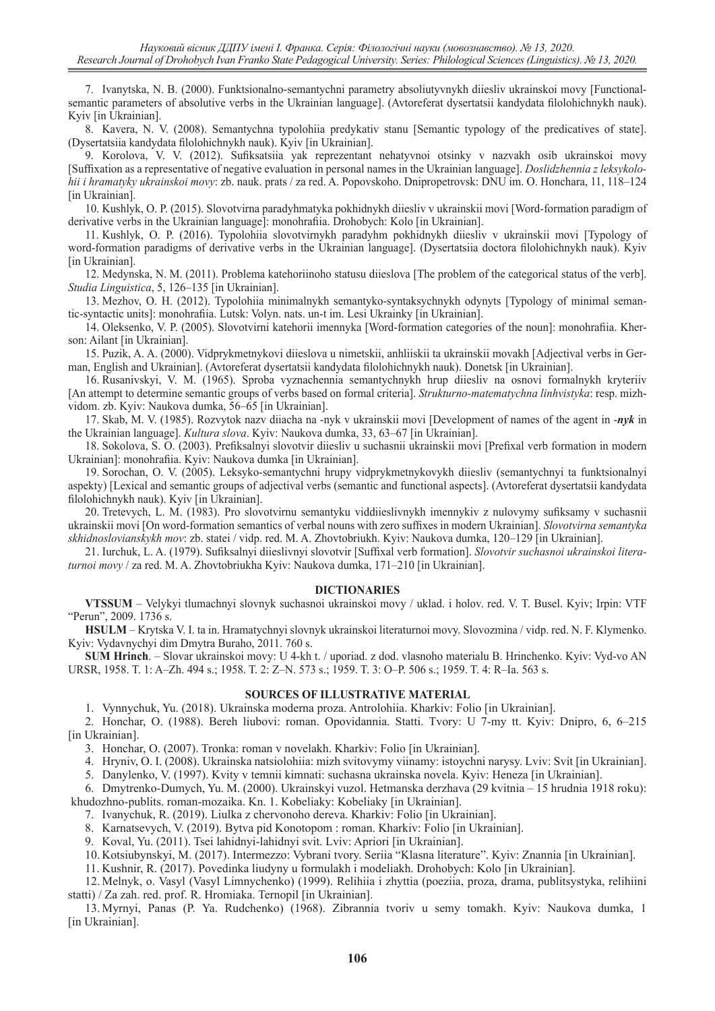7. Ivanytska, N. B. (2000). Funktsionalno-semantychni parametry absoliutyvnykh diiesliv ukrainskoi movy [Functionalsemantic parameters of absolutive verbs in the Ukrainian language]. (Avtoreferat dysertatsii kandydata filolohichnykh nauk). Kyiv [in Ukrainian].

8. Kavera, N. V. (2008). Semantychna typolohiia predykativ stanu [Semantic typology of the predicatives of state]. (Dysertatsiia kandydata filolohichnykh nauk). Kyiv [in Ukrainian].

9. Korolova, V. V. (2012). Sufiksatsiia yak reprezentant nehatyvnoi otsinky v nazvakh osib ukrainskoi movy [Suffixation as a representative of negative evaluation in personal names in the Ukrainian language]. *Doslidzhennia z leksykolohii i hramatyky ukrainskoi movy*: zb. nauk. prats / za red. A. Popovskoho. Dnipropetrovsk: DNU im. O. Honchara, 11, 118–124 [in Ukrainian].

10. Kushlyk, O. P. (2015). Slovotvirna paradyhmatyka pokhidnykh diiesliv v ukrainskii movi [Word-formation paradigm of derivative verbs in the Ukrainian language]: monohrafiia. Drohobych: Kolo [in Ukrainian].

11. Kushlyk, O. P. (2016). Typolohiia slovotvirnykh paradyhm pokhidnykh diiesliv v ukrainskii movi [Typology of word-formation paradigms of derivative verbs in the Ukrainian language]. (Dysertatsiia doctora filolohichnykh nauk). Kyiv [in Ukrainian].

12. Medynska, N. M. (2011). Problema katehoriinoho statusu diieslova [The problem of the categorical status of the verb]. *Studia Linguistica*, 5, 126–135 [in Ukrainian].

13. Mezhov, O. H. (2012). Typolohiia minimalnykh semantyko-syntaksychnykh odynyts [Typology of minimal semantic-syntactic units]: monohrafiia. Lutsk: Volyn. nats. un-t im. Lesi Ukrainky [in Ukrainian].

14. Oleksenko, V. P. (2005). Slovotvirni katehorii imennyka [Word-formation categories of the noun]: monohrafiia. Kherson: Ailant [in Ukrainian].

15. Puzik, A. A. (2000). Vidprykmetnykovi diieslova u nimetskii, anhliiskii ta ukrainskii movakh [Adjectival verbs in German, English and Ukrainian]. (Avtoreferat dysertatsii kandydata filolohichnykh nauk). Donetsk [in Ukrainian].

16. Rusanivskyi, V. M. (1965). Sproba vyznachennia semantychnykh hrup diiesliv na osnovi formalnykh kryteriiv [An attempt to determine semantic groups of verbs based on formal criteria]. *Strukturno-matematychna linhvistyka*: resp. mizhvidom. zb. Kyiv: Naukova dumka, 56–65 [in Ukrainian].

17. Skab, M. V. (1985). Rozvytok nazv diiacha na -nyk v ukrainskii movi [Development of names of the agent in -*nyk* in the Ukrainian language]. *Kultura slova*. Kyiv: Naukova dumka, 33, 63–67 [in Ukrainian].

18. Sokolova, S. O. (2003). Prefiksalnyi slovotvir diiesliv u suchasnii ukrainskii movi [Prefixal verb formation in modern Ukrainian]: monohrafiia. Kyiv: Naukova dumka [in Ukrainian].

19. Sorochan, O. V. (2005). Leksyko-semantychni hrupy vidprykmetnykovykh diiesliv (semantychnyi ta funktsionalnyi aspekty) [Lexical and semantic groups of adjectival verbs (semantic and functional aspects]. (Avtoreferat dysertatsii kandydata filolohichnykh nauk). Kyiv [in Ukrainian].

20. Tretevych, L. M. (1983). Pro slovotvirnu semantyku viddiieslivnykh imennykiv z nulovymy sufiksamy v suchasnii ukrainskii movi [On word-formation semantics of verbal nouns with zero suffixes in modern Ukrainian]. *Slovotvirna semantyka skhidnoslovianskykh mov*: zb. statei / vidp. red. M. A. Zhovtobriukh. Kyiv: Naukova dumka, 120–129 [in Ukrainian].

21. Iurchuk, L. A. (1979). Sufiksalnyi diieslivnyi slovotvir [Suffixal verb formation]. *Slovotvir suchasnoi ukrainskoi literaturnoi movy* / za red. M. A. Zhovtobriukha Kyiv: Naukova dumka, 171–210 [in Ukrainian].

### **DICTIONARIES**

**VTSSUM** – Velykyi tlumachnyi slovnyk suchasnoi ukrainskoi movy / uklad. i holov. red. V. T. Busel. Kyiv; Irpin: VTF "Perun", 2009, 1736 s.

**HSULM** – Krytska V. I. ta in. Hramatychnyi slovnyk ukrainskoi literaturnoi movy. Slovozmina / vidp. red. N. F. Klymenko. Kyiv: Vydavnychyi dim Dmytra Buraho, 2011. 760 s.

**SUM Hrinch**. – Slovar ukrainskoi movy: U 4-kh t. / uporiad. z dod. vlasnoho materialu B. Hrinchenko. Kyiv: Vyd-vo AN URSR, 1958. T. 1: A–Zh. 494 s.; 1958. T. 2: Z–N. 573 s.; 1959. T. 3: O–P. 506 s.; 1959. T. 4: R–Ia. 563 s.

#### **SOURCES OF ILLUSTRATIVE MATERIAL**

1. Vynnychuk, Yu. (2018). Ukrainska moderna proza. Antrolohiia. Kharkiv: Folio [in Ukrainian].

2. Honchar, O. (1988). Bereh liubovi: roman. Opovidannia. Statti. Tvory: U 7-my tt. Kyiv: Dnipro, 6, 6–215 [in Ukrainian].

3. Honchar, O. (2007). Tronka: roman v novelakh. Kharkiv: Folio [in Ukrainian].

4. Hryniv, O. I. (2008). Ukrainska natsiolohiia: mizh svitovymy viinamy: istoychni narysy. Lviv: Svit [in Ukrainian].

5. Danylenko, V. (1997). Kvity v temnii kimnati: suchasna ukrainska novela. Kyiv: Heneza [in Ukrainian].

6. Dmytrenko-Dumych, Yu. M. (2000). Ukrainskyi vuzol. Hetmanska derzhava (29 kvitnia – 15 hrudnia 1918 roku): khudozhno-publits. roman-mozaika. Kn. 1. Kobeliaky: Kobeliaky [in Ukrainian].

7. Ivanychuk, R. (2019). Liulka z chervonoho dereva. Kharkiv: Folio [in Ukrainian].

8. Karnatsevych, V. (2019). Bytva pid Konotopom : roman. Kharkiv: Folio [in Ukrainian].

9. Koval, Yu. (2011). Tsei lahidnyi-lahidnyi svit. Lviv: Apriori [in Ukrainian].

10. Kotsiubynskyi, M. (2017). Intermezzo: Vybrani tvory. Seriia "Klasna literature". Kyiv: Znannia [in Ukrainian].

11. Kushnir, R. (2017). Povedinka liudyny u formulakh i modeliakh. Drohobych: Kolo [in Ukrainian].

12. Melnyk, o. Vasyl (Vasyl Limnychenko) (1999). Relihiia i zhyttia (poeziia, proza, drama, publitsystyka, relihiini statti) / Za zah. red. prof. R. Hromiaka. Ternopil [in Ukrainian].

13. Myrnyi, Panas (P. Ya. Rudchenko) (1968). Zibrannia tvoriv u semy tomakh. Kyiv: Naukova dumka, 1 [in Ukrainian].